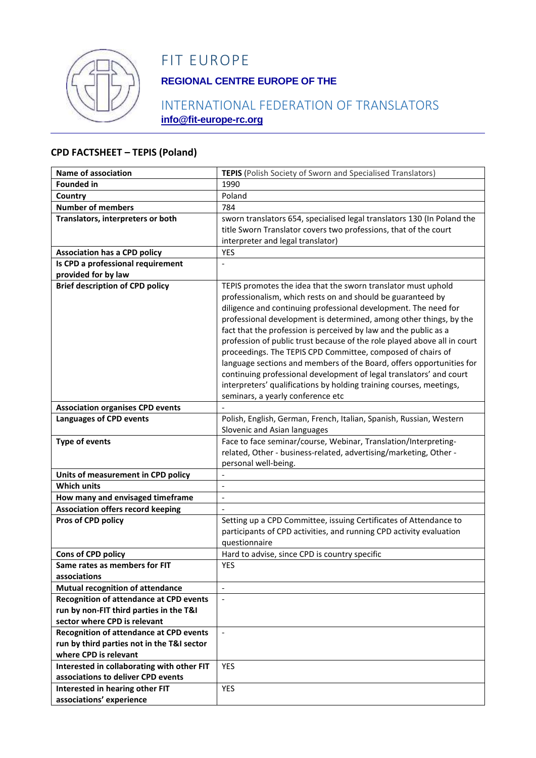

# FIT EUROPE

## **REGIONAL CENTRE EUROPE OF THE**

## INTERNATIONAL FEDERATION OF TRANSLATORS **info@fit-europe-rc.org**

#### **CPD FACTSHEET – TEPIS (Poland)**

| <b>Name of association</b>                                                                | <b>TEPIS</b> (Polish Society of Sworn and Specialised Translators)       |
|-------------------------------------------------------------------------------------------|--------------------------------------------------------------------------|
| <b>Founded in</b>                                                                         | 1990                                                                     |
| Country                                                                                   | Poland                                                                   |
| <b>Number of members</b>                                                                  | 784                                                                      |
| Translators, interpreters or both                                                         | sworn translators 654, specialised legal translators 130 (In Poland the  |
|                                                                                           | title Sworn Translator covers two professions, that of the court         |
|                                                                                           | interpreter and legal translator)                                        |
| <b>Association has a CPD policy</b>                                                       | YES                                                                      |
| Is CPD a professional requirement                                                         |                                                                          |
| provided for by law                                                                       |                                                                          |
| <b>Brief description of CPD policy</b>                                                    | TEPIS promotes the idea that the sworn translator must uphold            |
|                                                                                           | professionalism, which rests on and should be guaranteed by              |
|                                                                                           | diligence and continuing professional development. The need for          |
|                                                                                           | professional development is determined, among other things, by the       |
|                                                                                           | fact that the profession is perceived by law and the public as a         |
|                                                                                           | profession of public trust because of the role played above all in court |
|                                                                                           | proceedings. The TEPIS CPD Committee, composed of chairs of              |
|                                                                                           | language sections and members of the Board, offers opportunities for     |
|                                                                                           | continuing professional development of legal translators' and court      |
|                                                                                           | interpreters' qualifications by holding training courses, meetings,      |
|                                                                                           | seminars, a yearly conference etc                                        |
| <b>Association organises CPD events</b>                                                   |                                                                          |
| <b>Languages of CPD events</b>                                                            | Polish, English, German, French, Italian, Spanish, Russian, Western      |
|                                                                                           | Slovenic and Asian languages                                             |
| <b>Type of events</b>                                                                     | Face to face seminar/course, Webinar, Translation/Interpreting-          |
|                                                                                           | related, Other - business-related, advertising/marketing, Other -        |
|                                                                                           | personal well-being.                                                     |
| Units of measurement in CPD policy                                                        |                                                                          |
| <b>Which units</b>                                                                        | $\overline{\phantom{a}}$                                                 |
| How many and envisaged timeframe                                                          | $\overline{\phantom{a}}$                                                 |
| <b>Association offers record keeping</b>                                                  |                                                                          |
| Pros of CPD policy                                                                        | Setting up a CPD Committee, issuing Certificates of Attendance to        |
|                                                                                           | participants of CPD activities, and running CPD activity evaluation      |
|                                                                                           | questionnaire                                                            |
| Cons of CPD policy                                                                        | Hard to advise, since CPD is country specific                            |
| Same rates as members for FIT                                                             | YES                                                                      |
| associations                                                                              | $\mathbf{r}$                                                             |
| <b>Mutual recognition of attendance</b><br><b>Recognition of attendance at CPD events</b> |                                                                          |
| run by non-FIT third parties in the T&I                                                   |                                                                          |
| sector where CPD is relevant                                                              |                                                                          |
| <b>Recognition of attendance at CPD events</b>                                            | $\overline{\phantom{a}}$                                                 |
| run by third parties not in the T&I sector                                                |                                                                          |
| where CPD is relevant                                                                     |                                                                          |
| Interested in collaborating with other FIT                                                | <b>YES</b>                                                               |
| associations to deliver CPD events                                                        |                                                                          |
| Interested in hearing other FIT                                                           | <b>YES</b>                                                               |
| associations' experience                                                                  |                                                                          |
|                                                                                           |                                                                          |